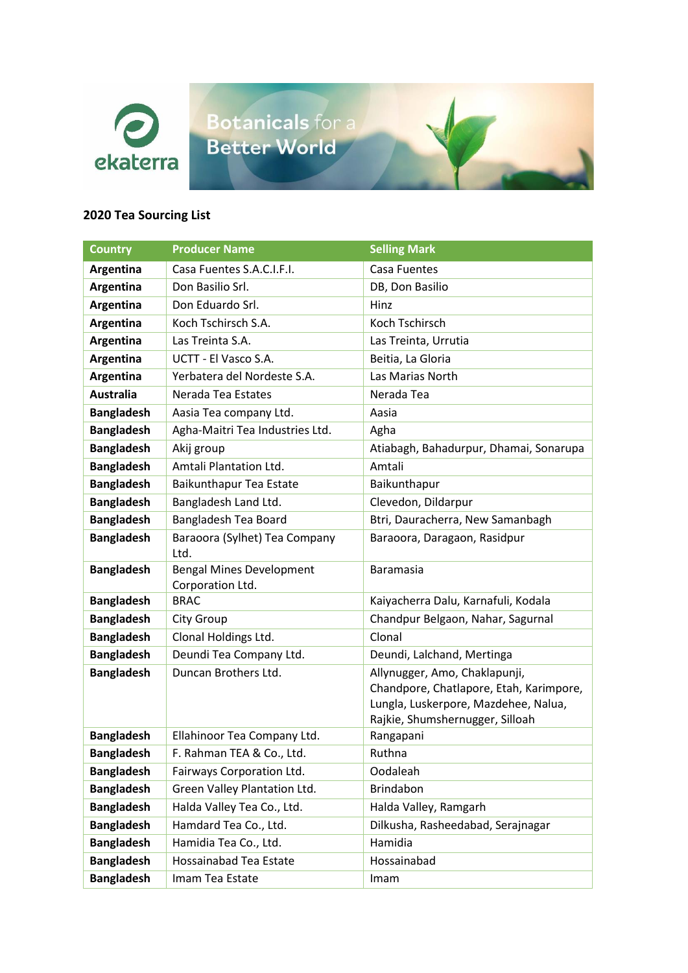

Botanicals for a Better World

## **2020 Tea Sourcing List**

| <b>Country</b>    | <b>Producer Name</b>                                | <b>Selling Mark</b>                                                                                                                                 |
|-------------------|-----------------------------------------------------|-----------------------------------------------------------------------------------------------------------------------------------------------------|
| Argentina         | Casa Fuentes S.A.C.I.F.I.                           | Casa Fuentes                                                                                                                                        |
| Argentina         | Don Basilio Srl.                                    | DB, Don Basilio                                                                                                                                     |
| Argentina         | Don Eduardo Srl.                                    | Hinz                                                                                                                                                |
| Argentina         | Koch Tschirsch S.A.                                 | Koch Tschirsch                                                                                                                                      |
| Argentina         | Las Treinta S.A.                                    | Las Treinta, Urrutia                                                                                                                                |
| Argentina         | UCTT - El Vasco S.A.                                | Beitia, La Gloria                                                                                                                                   |
| Argentina         | Yerbatera del Nordeste S.A.                         | Las Marias North                                                                                                                                    |
| <b>Australia</b>  | Nerada Tea Estates                                  | Nerada Tea                                                                                                                                          |
| <b>Bangladesh</b> | Aasia Tea company Ltd.                              | Aasia                                                                                                                                               |
| <b>Bangladesh</b> | Agha-Maitri Tea Industries Ltd.                     | Agha                                                                                                                                                |
| <b>Bangladesh</b> | Akij group                                          | Atiabagh, Bahadurpur, Dhamai, Sonarupa                                                                                                              |
| <b>Bangladesh</b> | Amtali Plantation Ltd.                              | Amtali                                                                                                                                              |
| <b>Bangladesh</b> | Baikunthapur Tea Estate                             | Baikunthapur                                                                                                                                        |
| <b>Bangladesh</b> | Bangladesh Land Ltd.                                | Clevedon, Dildarpur                                                                                                                                 |
| <b>Bangladesh</b> | <b>Bangladesh Tea Board</b>                         | Btri, Dauracherra, New Samanbagh                                                                                                                    |
| <b>Bangladesh</b> | Baraoora (Sylhet) Tea Company<br>Ltd.               | Baraoora, Daragaon, Rasidpur                                                                                                                        |
| <b>Bangladesh</b> | <b>Bengal Mines Development</b><br>Corporation Ltd. | <b>Baramasia</b>                                                                                                                                    |
| <b>Bangladesh</b> | <b>BRAC</b>                                         | Kaiyacherra Dalu, Karnafuli, Kodala                                                                                                                 |
| <b>Bangladesh</b> | <b>City Group</b>                                   | Chandpur Belgaon, Nahar, Sagurnal                                                                                                                   |
| <b>Bangladesh</b> | Clonal Holdings Ltd.                                | Clonal                                                                                                                                              |
| <b>Bangladesh</b> | Deundi Tea Company Ltd.                             | Deundi, Lalchand, Mertinga                                                                                                                          |
| <b>Bangladesh</b> | Duncan Brothers Ltd.                                | Allynugger, Amo, Chaklapunji,<br>Chandpore, Chatlapore, Etah, Karimpore,<br>Lungla, Luskerpore, Mazdehee, Nalua,<br>Rajkie, Shumshernugger, Silloah |
| <b>Bangladesh</b> | Ellahinoor Tea Company Ltd.                         | Rangapani                                                                                                                                           |
| <b>Bangladesh</b> | F. Rahman TEA & Co., Ltd.                           | Ruthna                                                                                                                                              |
| <b>Bangladesh</b> | Fairways Corporation Ltd.                           | Oodaleah                                                                                                                                            |
| <b>Bangladesh</b> | Green Valley Plantation Ltd.                        | Brindabon                                                                                                                                           |
| <b>Bangladesh</b> | Halda Valley Tea Co., Ltd.                          | Halda Valley, Ramgarh                                                                                                                               |
| <b>Bangladesh</b> | Hamdard Tea Co., Ltd.                               | Dilkusha, Rasheedabad, Serajnagar                                                                                                                   |
| <b>Bangladesh</b> | Hamidia Tea Co., Ltd.                               | Hamidia                                                                                                                                             |
| <b>Bangladesh</b> | <b>Hossainabad Tea Estate</b>                       | Hossainabad                                                                                                                                         |
| <b>Bangladesh</b> | Imam Tea Estate                                     | Imam                                                                                                                                                |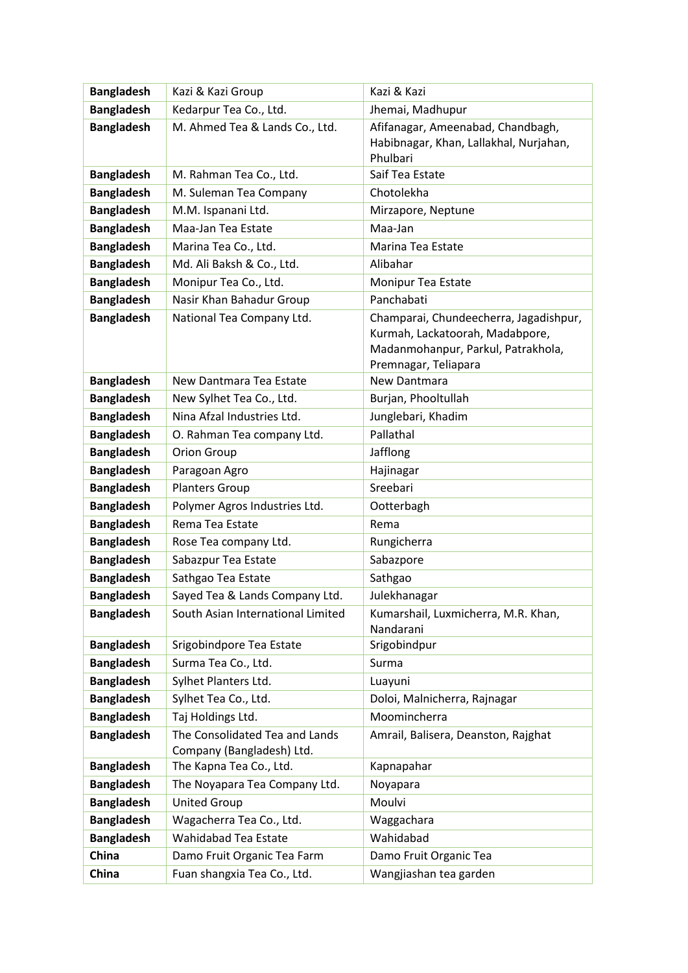| <b>Bangladesh</b> | Kazi & Kazi Group                                           | Kazi & Kazi                                                                                                                             |
|-------------------|-------------------------------------------------------------|-----------------------------------------------------------------------------------------------------------------------------------------|
| <b>Bangladesh</b> | Kedarpur Tea Co., Ltd.                                      | Jhemai, Madhupur                                                                                                                        |
| <b>Bangladesh</b> | M. Ahmed Tea & Lands Co., Ltd.                              | Afifanagar, Ameenabad, Chandbagh,<br>Habibnagar, Khan, Lallakhal, Nurjahan,<br>Phulbari                                                 |
| <b>Bangladesh</b> | M. Rahman Tea Co., Ltd.                                     | Saif Tea Estate                                                                                                                         |
| <b>Bangladesh</b> | M. Suleman Tea Company                                      | Chotolekha                                                                                                                              |
| <b>Bangladesh</b> | M.M. Ispanani Ltd.                                          | Mirzapore, Neptune                                                                                                                      |
| <b>Bangladesh</b> | Maa-Jan Tea Estate                                          | Maa-Jan                                                                                                                                 |
| <b>Bangladesh</b> | Marina Tea Co., Ltd.                                        | Marina Tea Estate                                                                                                                       |
| <b>Bangladesh</b> | Md. Ali Baksh & Co., Ltd.                                   | Alibahar                                                                                                                                |
| <b>Bangladesh</b> | Monipur Tea Co., Ltd.                                       | Monipur Tea Estate                                                                                                                      |
| <b>Bangladesh</b> | Nasir Khan Bahadur Group                                    | Panchabati                                                                                                                              |
| <b>Bangladesh</b> | National Tea Company Ltd.                                   | Champarai, Chundeecherra, Jagadishpur,<br>Kurmah, Lackatoorah, Madabpore,<br>Madanmohanpur, Parkul, Patrakhola,<br>Premnagar, Teliapara |
| <b>Bangladesh</b> | New Dantmara Tea Estate                                     | New Dantmara                                                                                                                            |
| <b>Bangladesh</b> | New Sylhet Tea Co., Ltd.                                    | Burjan, Phooltullah                                                                                                                     |
| <b>Bangladesh</b> | Nina Afzal Industries Ltd.                                  | Junglebari, Khadim                                                                                                                      |
| <b>Bangladesh</b> | O. Rahman Tea company Ltd.                                  | Pallathal                                                                                                                               |
| <b>Bangladesh</b> | Orion Group                                                 | Jafflong                                                                                                                                |
| <b>Bangladesh</b> | Paragoan Agro                                               | Hajinagar                                                                                                                               |
| <b>Bangladesh</b> | <b>Planters Group</b>                                       | Sreebari                                                                                                                                |
| <b>Bangladesh</b> | Polymer Agros Industries Ltd.                               | Ootterbagh                                                                                                                              |
| <b>Bangladesh</b> | Rema Tea Estate                                             | Rema                                                                                                                                    |
| <b>Bangladesh</b> | Rose Tea company Ltd.                                       | Rungicherra                                                                                                                             |
| <b>Bangladesh</b> | Sabazpur Tea Estate                                         | Sabazpore                                                                                                                               |
| <b>Bangladesh</b> | Sathgao Tea Estate                                          | Sathgao                                                                                                                                 |
| <b>Bangladesh</b> | Sayed Tea & Lands Company Ltd.                              | Julekhanagar                                                                                                                            |
| <b>Bangladesh</b> | South Asian International Limited                           | Kumarshail, Luxmicherra, M.R. Khan,<br>Nandarani                                                                                        |
| <b>Bangladesh</b> | Srigobindpore Tea Estate                                    | Srigobindpur                                                                                                                            |
| <b>Bangladesh</b> | Surma Tea Co., Ltd.                                         | Surma                                                                                                                                   |
| <b>Bangladesh</b> | Sylhet Planters Ltd.                                        | Luayuni                                                                                                                                 |
| <b>Bangladesh</b> | Sylhet Tea Co., Ltd.                                        | Doloi, Malnicherra, Rajnagar                                                                                                            |
| <b>Bangladesh</b> | Taj Holdings Ltd.                                           | Moomincherra                                                                                                                            |
| <b>Bangladesh</b> | The Consolidated Tea and Lands<br>Company (Bangladesh) Ltd. | Amrail, Balisera, Deanston, Rajghat                                                                                                     |
| <b>Bangladesh</b> | The Kapna Tea Co., Ltd.                                     | Kapnapahar                                                                                                                              |
| <b>Bangladesh</b> | The Noyapara Tea Company Ltd.                               | Noyapara                                                                                                                                |
| <b>Bangladesh</b> | <b>United Group</b>                                         | Moulvi                                                                                                                                  |
| <b>Bangladesh</b> | Wagacherra Tea Co., Ltd.                                    | Waggachara                                                                                                                              |
| <b>Bangladesh</b> | Wahidabad Tea Estate                                        | Wahidabad                                                                                                                               |
| China             | Damo Fruit Organic Tea Farm                                 | Damo Fruit Organic Tea                                                                                                                  |
| China             | Fuan shangxia Tea Co., Ltd.                                 | Wangjiashan tea garden                                                                                                                  |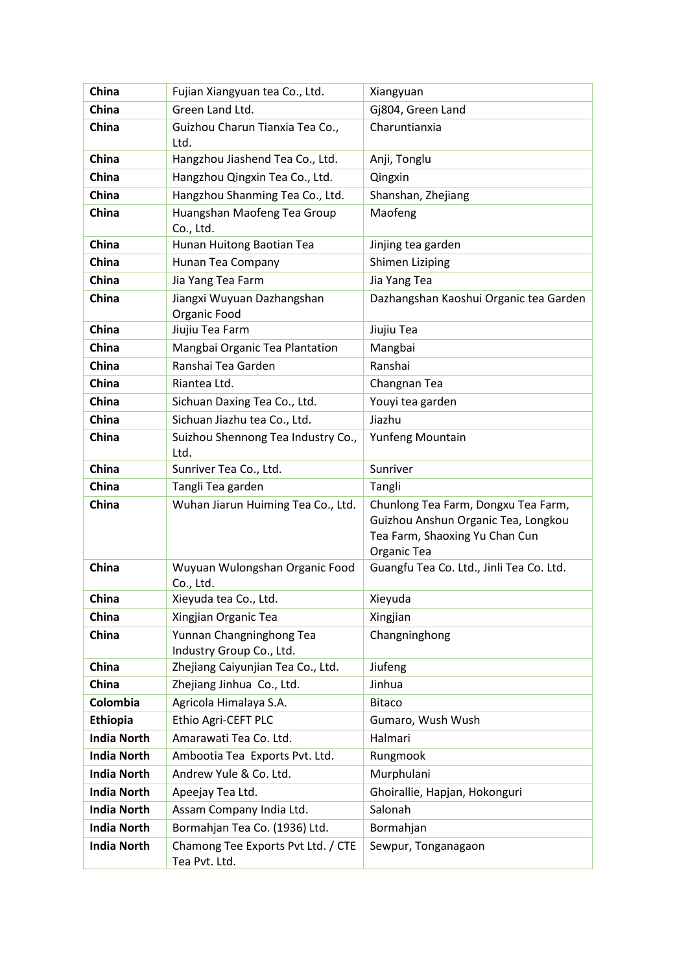| China              | Fujian Xiangyuan tea Co., Ltd.                       | Xiangyuan                                                                                                                   |
|--------------------|------------------------------------------------------|-----------------------------------------------------------------------------------------------------------------------------|
| China              | Green Land Ltd.                                      | Gj804, Green Land                                                                                                           |
| China              | Guizhou Charun Tianxia Tea Co.,<br>Ltd.              | Charuntianxia                                                                                                               |
| China              | Hangzhou Jiashend Tea Co., Ltd.                      | Anji, Tonglu                                                                                                                |
| China              | Hangzhou Qingxin Tea Co., Ltd.                       | Qingxin                                                                                                                     |
| China              | Hangzhou Shanming Tea Co., Ltd.                      | Shanshan, Zhejiang                                                                                                          |
| China              | Huangshan Maofeng Tea Group<br>Co., Ltd.             | Maofeng                                                                                                                     |
| China              | Hunan Huitong Baotian Tea                            | Jinjing tea garden                                                                                                          |
| China              | Hunan Tea Company                                    | Shimen Liziping                                                                                                             |
| China              | Jia Yang Tea Farm                                    | Jia Yang Tea                                                                                                                |
| China              | Jiangxi Wuyuan Dazhangshan<br>Organic Food           | Dazhangshan Kaoshui Organic tea Garden                                                                                      |
| China              | Jiujiu Tea Farm                                      | Jiujiu Tea                                                                                                                  |
| China              | Mangbai Organic Tea Plantation                       | Mangbai                                                                                                                     |
| China              | Ranshai Tea Garden                                   | Ranshai                                                                                                                     |
| China              | Riantea Ltd.                                         | Changnan Tea                                                                                                                |
| China              | Sichuan Daxing Tea Co., Ltd.                         | Youyi tea garden                                                                                                            |
| China              | Sichuan Jiazhu tea Co., Ltd.                         | Jiazhu                                                                                                                      |
| China              | Suizhou Shennong Tea Industry Co.,<br>Ltd.           | Yunfeng Mountain                                                                                                            |
| China              | Sunriver Tea Co., Ltd.                               | Sunriver                                                                                                                    |
| China              | Tangli Tea garden                                    | Tangli                                                                                                                      |
| China              | Wuhan Jiarun Huiming Tea Co., Ltd.                   | Chunlong Tea Farm, Dongxu Tea Farm,<br>Guizhou Anshun Organic Tea, Longkou<br>Tea Farm, Shaoxing Yu Chan Cun<br>Organic Tea |
| China              | Wuyuan Wulongshan Organic Food<br>Co., Ltd.          | Guangfu Tea Co. Ltd., Jinli Tea Co. Ltd.                                                                                    |
| China              | Xieyuda tea Co., Ltd.                                | Xieyuda                                                                                                                     |
| China              | Xingjian Organic Tea                                 | Xingjian                                                                                                                    |
| China              | Yunnan Changninghong Tea<br>Industry Group Co., Ltd. | Changninghong                                                                                                               |
| China              | Zhejiang Caiyunjian Tea Co., Ltd.                    | Jiufeng                                                                                                                     |
| China              | Zhejiang Jinhua Co., Ltd.                            | Jinhua                                                                                                                      |
| Colombia           | Agricola Himalaya S.A.                               | <b>Bitaco</b>                                                                                                               |
| <b>Ethiopia</b>    | Ethio Agri-CEFT PLC                                  | Gumaro, Wush Wush                                                                                                           |
| <b>India North</b> | Amarawati Tea Co. Ltd.                               | Halmari                                                                                                                     |
| <b>India North</b> | Ambootia Tea Exports Pvt. Ltd.                       | Rungmook                                                                                                                    |
| <b>India North</b> | Andrew Yule & Co. Ltd.                               | Murphulani                                                                                                                  |
| <b>India North</b> | Apeejay Tea Ltd.                                     | Ghoirallie, Hapjan, Hokonguri                                                                                               |
| <b>India North</b> | Assam Company India Ltd.                             | Salonah                                                                                                                     |
| <b>India North</b> | Bormahjan Tea Co. (1936) Ltd.                        | Bormahjan                                                                                                                   |
| <b>India North</b> | Chamong Tee Exports Pvt Ltd. / CTE<br>Tea Pvt. Ltd.  | Sewpur, Tonganagaon                                                                                                         |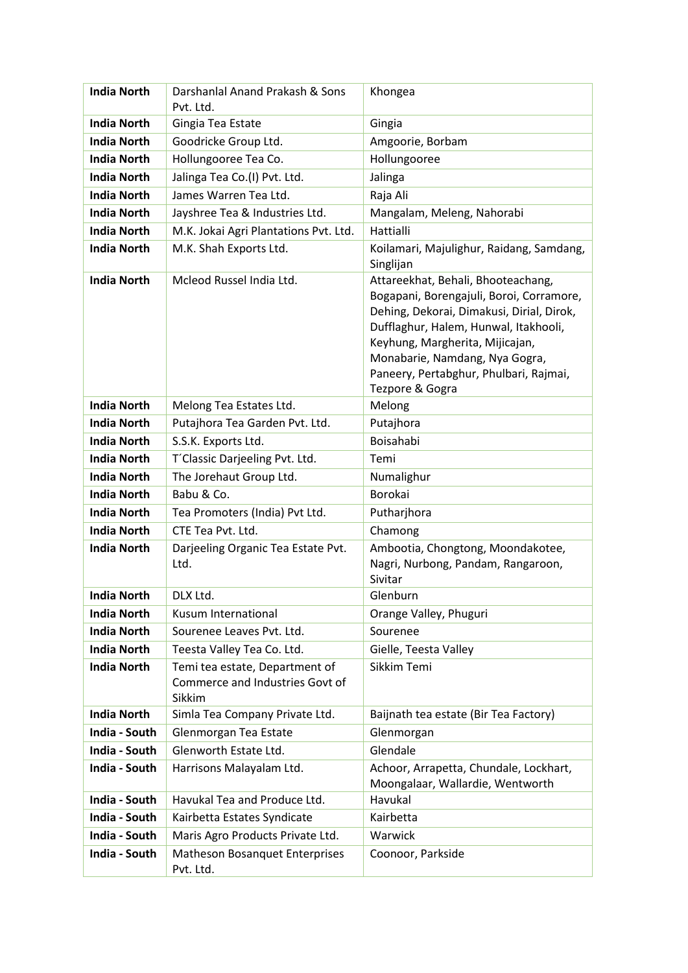| <b>India North</b> | Darshanlal Anand Prakash & Sons<br>Pvt. Ltd.                                | Khongea                                                                                                                                                                                                                                                                                                |
|--------------------|-----------------------------------------------------------------------------|--------------------------------------------------------------------------------------------------------------------------------------------------------------------------------------------------------------------------------------------------------------------------------------------------------|
| <b>India North</b> | Gingia Tea Estate                                                           | Gingia                                                                                                                                                                                                                                                                                                 |
| <b>India North</b> | Goodricke Group Ltd.                                                        | Amgoorie, Borbam                                                                                                                                                                                                                                                                                       |
| <b>India North</b> | Hollungooree Tea Co.                                                        | Hollungooree                                                                                                                                                                                                                                                                                           |
| <b>India North</b> | Jalinga Tea Co.(I) Pvt. Ltd.                                                | Jalinga                                                                                                                                                                                                                                                                                                |
| <b>India North</b> | James Warren Tea Ltd.                                                       | Raja Ali                                                                                                                                                                                                                                                                                               |
| <b>India North</b> | Jayshree Tea & Industries Ltd.                                              | Mangalam, Meleng, Nahorabi                                                                                                                                                                                                                                                                             |
| <b>India North</b> | M.K. Jokai Agri Plantations Pvt. Ltd.                                       | Hattialli                                                                                                                                                                                                                                                                                              |
| <b>India North</b> | M.K. Shah Exports Ltd.                                                      | Koilamari, Majulighur, Raidang, Samdang,<br>Singlijan                                                                                                                                                                                                                                                  |
| <b>India North</b> | Mcleod Russel India Ltd.                                                    | Attareekhat, Behali, Bhooteachang,<br>Bogapani, Borengajuli, Boroi, Corramore,<br>Dehing, Dekorai, Dimakusi, Dirial, Dirok,<br>Dufflaghur, Halem, Hunwal, Itakhooli,<br>Keyhung, Margherita, Mijicajan,<br>Monabarie, Namdang, Nya Gogra,<br>Paneery, Pertabghur, Phulbari, Rajmai,<br>Tezpore & Gogra |
| <b>India North</b> | Melong Tea Estates Ltd.                                                     | Melong                                                                                                                                                                                                                                                                                                 |
| <b>India North</b> | Putajhora Tea Garden Pvt. Ltd.                                              | Putajhora                                                                                                                                                                                                                                                                                              |
| <b>India North</b> | S.S.K. Exports Ltd.                                                         | Boisahabi                                                                                                                                                                                                                                                                                              |
| <b>India North</b> | T'Classic Darjeeling Pvt. Ltd.                                              | Temi                                                                                                                                                                                                                                                                                                   |
| <b>India North</b> | The Jorehaut Group Ltd.                                                     | Numalighur                                                                                                                                                                                                                                                                                             |
| <b>India North</b> | Babu & Co.                                                                  | Borokai                                                                                                                                                                                                                                                                                                |
| <b>India North</b> | Tea Promoters (India) Pvt Ltd.                                              | Putharjhora                                                                                                                                                                                                                                                                                            |
| <b>India North</b> | CTE Tea Pvt. Ltd.                                                           | Chamong                                                                                                                                                                                                                                                                                                |
| <b>India North</b> | Darjeeling Organic Tea Estate Pvt.<br>Ltd.                                  | Ambootia, Chongtong, Moondakotee,<br>Nagri, Nurbong, Pandam, Rangaroon,<br>Sivitar                                                                                                                                                                                                                     |
| <b>India North</b> | DLX Ltd.                                                                    | Glenburn                                                                                                                                                                                                                                                                                               |
| <b>India North</b> | Kusum International                                                         | Orange Valley, Phuguri                                                                                                                                                                                                                                                                                 |
| <b>India North</b> | Sourenee Leaves Pvt. Ltd.                                                   | Sourenee                                                                                                                                                                                                                                                                                               |
| <b>India North</b> | Teesta Valley Tea Co. Ltd.                                                  | Gielle, Teesta Valley                                                                                                                                                                                                                                                                                  |
| <b>India North</b> | Temi tea estate, Department of<br>Commerce and Industries Govt of<br>Sikkim | Sikkim Temi                                                                                                                                                                                                                                                                                            |
| <b>India North</b> | Simla Tea Company Private Ltd.                                              | Baijnath tea estate (Bir Tea Factory)                                                                                                                                                                                                                                                                  |
| India - South      | Glenmorgan Tea Estate                                                       | Glenmorgan                                                                                                                                                                                                                                                                                             |
| India - South      | Glenworth Estate Ltd.                                                       | Glendale                                                                                                                                                                                                                                                                                               |
| India - South      | Harrisons Malayalam Ltd.                                                    | Achoor, Arrapetta, Chundale, Lockhart,<br>Moongalaar, Wallardie, Wentworth                                                                                                                                                                                                                             |
| India - South      | Havukal Tea and Produce Ltd.                                                | Havukal                                                                                                                                                                                                                                                                                                |
| India - South      | Kairbetta Estates Syndicate                                                 | Kairbetta                                                                                                                                                                                                                                                                                              |
| India - South      | Maris Agro Products Private Ltd.                                            | Warwick                                                                                                                                                                                                                                                                                                |
| India - South      | Matheson Bosanquet Enterprises<br>Pvt. Ltd.                                 | Coonoor, Parkside                                                                                                                                                                                                                                                                                      |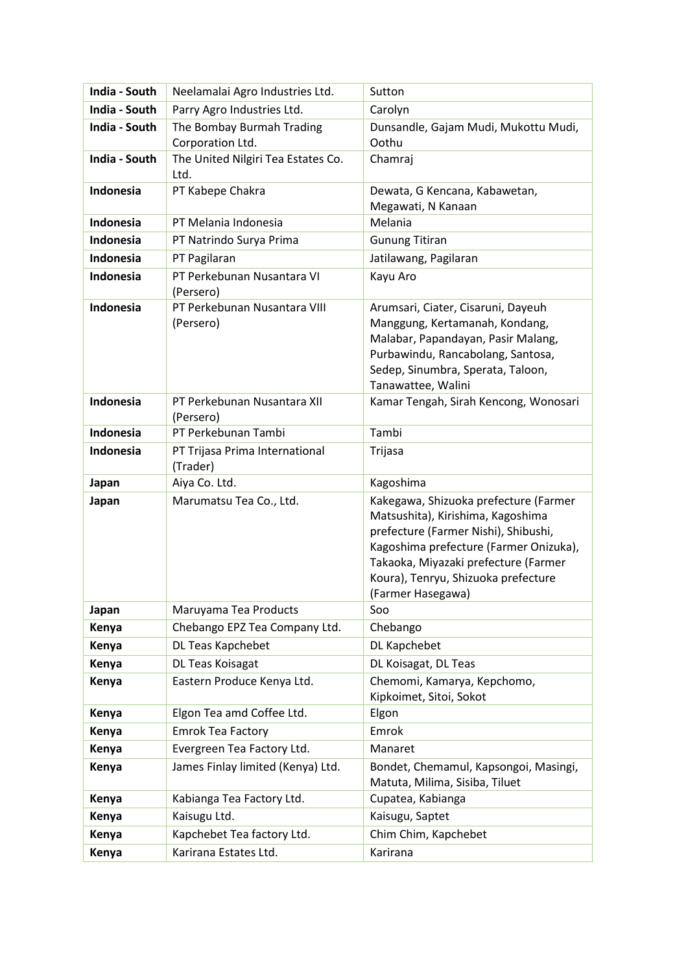| India - South    | Neelamalai Agro Industries Ltd.               | Sutton                                                                                                                                                                                                                                                           |
|------------------|-----------------------------------------------|------------------------------------------------------------------------------------------------------------------------------------------------------------------------------------------------------------------------------------------------------------------|
| India - South    | Parry Agro Industries Ltd.                    | Carolyn                                                                                                                                                                                                                                                          |
| India - South    | The Bombay Burmah Trading<br>Corporation Ltd. | Dunsandle, Gajam Mudi, Mukottu Mudi,<br>Oothu                                                                                                                                                                                                                    |
| India - South    | The United Nilgiri Tea Estates Co.<br>Ltd.    | Chamraj                                                                                                                                                                                                                                                          |
| Indonesia        | PT Kabepe Chakra                              | Dewata, G Kencana, Kabawetan,<br>Megawati, N Kanaan                                                                                                                                                                                                              |
| Indonesia        | PT Melania Indonesia                          | Melania                                                                                                                                                                                                                                                          |
| Indonesia        | PT Natrindo Surya Prima                       | <b>Gunung Titiran</b>                                                                                                                                                                                                                                            |
| Indonesia        | PT Pagilaran                                  | Jatilawang, Pagilaran                                                                                                                                                                                                                                            |
| Indonesia        | PT Perkebunan Nusantara VI<br>(Persero)       | Kayu Aro                                                                                                                                                                                                                                                         |
| <b>Indonesia</b> | PT Perkebunan Nusantara VIII<br>(Persero)     | Arumsari, Ciater, Cisaruni, Dayeuh<br>Manggung, Kertamanah, Kondang,<br>Malabar, Papandayan, Pasir Malang,<br>Purbawindu, Rancabolang, Santosa,<br>Sedep, Sinumbra, Sperata, Taloon,<br>Tanawattee, Walini                                                       |
| Indonesia        | PT Perkebunan Nusantara XII<br>(Persero)      | Kamar Tengah, Sirah Kencong, Wonosari                                                                                                                                                                                                                            |
| Indonesia        | PT Perkebunan Tambi                           | Tambi                                                                                                                                                                                                                                                            |
| Indonesia        | PT Trijasa Prima International<br>(Trader)    | Trijasa                                                                                                                                                                                                                                                          |
| Japan            | Aiya Co. Ltd.                                 | Kagoshima                                                                                                                                                                                                                                                        |
| Japan            | Marumatsu Tea Co., Ltd.                       | Kakegawa, Shizuoka prefecture (Farmer<br>Matsushita), Kirishima, Kagoshima<br>prefecture (Farmer Nishi), Shibushi,<br>Kagoshima prefecture (Farmer Onizuka),<br>Takaoka, Miyazaki prefecture (Farmer<br>Koura), Tenryu, Shizuoka prefecture<br>(Farmer Hasegawa) |
| Japan            | Maruyama Tea Products                         | Soo                                                                                                                                                                                                                                                              |
| Kenya            | Chebango EPZ Tea Company Ltd.                 | Chebango                                                                                                                                                                                                                                                         |
| Kenya            | DL Teas Kapchebet                             | DL Kapchebet                                                                                                                                                                                                                                                     |
| Kenya            | DL Teas Koisagat                              | DL Koisagat, DL Teas                                                                                                                                                                                                                                             |
| Kenya            | Eastern Produce Kenya Ltd.                    | Chemomi, Kamarya, Kepchomo,<br>Kipkoimet, Sitoi, Sokot                                                                                                                                                                                                           |
| Kenya            | Elgon Tea amd Coffee Ltd.                     | Elgon                                                                                                                                                                                                                                                            |
| Kenya            | <b>Emrok Tea Factory</b>                      | Emrok                                                                                                                                                                                                                                                            |
| Kenya            | Evergreen Tea Factory Ltd.                    | Manaret                                                                                                                                                                                                                                                          |
| Kenya            | James Finlay limited (Kenya) Ltd.             | Bondet, Chemamul, Kapsongoi, Masingi,<br>Matuta, Milima, Sisiba, Tiluet                                                                                                                                                                                          |
| Kenya            | Kabianga Tea Factory Ltd.                     | Cupatea, Kabianga                                                                                                                                                                                                                                                |
| Kenya            | Kaisugu Ltd.                                  | Kaisugu, Saptet                                                                                                                                                                                                                                                  |
| Kenya            | Kapchebet Tea factory Ltd.                    | Chim Chim, Kapchebet                                                                                                                                                                                                                                             |
| Kenya            | Karirana Estates Ltd.                         | Karirana                                                                                                                                                                                                                                                         |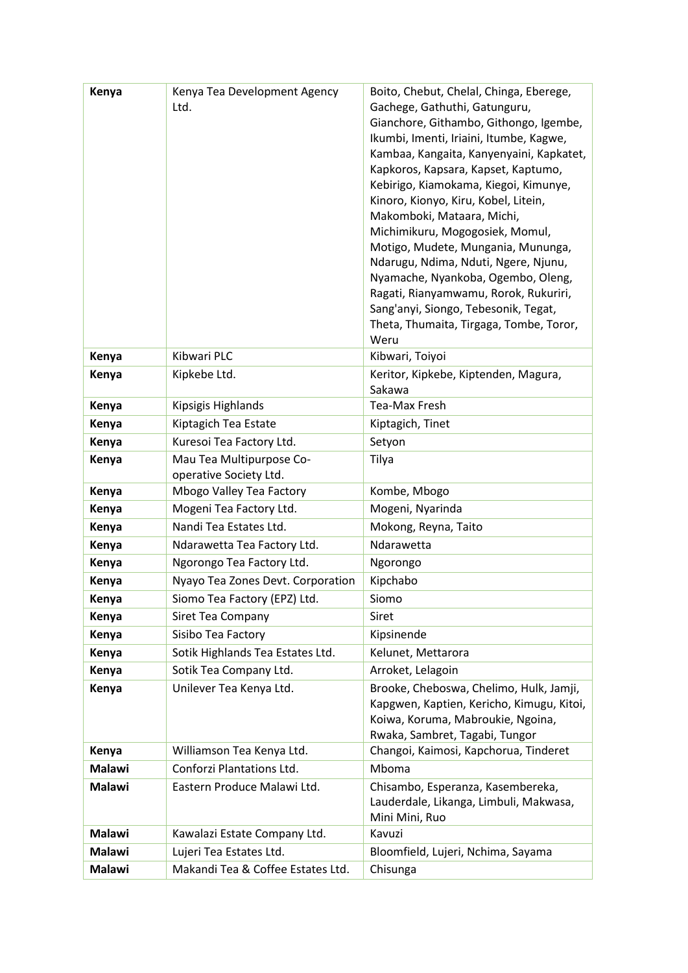| Kenya         | Kenya Tea Development Agency<br>Ltd.               | Boito, Chebut, Chelal, Chinga, Eberege,<br>Gachege, Gathuthi, Gatunguru,<br>Gianchore, Githambo, Githongo, Igembe,<br>Ikumbi, Imenti, Iriaini, Itumbe, Kagwe,<br>Kambaa, Kangaita, Kanyenyaini, Kapkatet,<br>Kapkoros, Kapsara, Kapset, Kaptumo,<br>Kebirigo, Kiamokama, Kiegoi, Kimunye,<br>Kinoro, Kionyo, Kiru, Kobel, Litein,<br>Makomboki, Mataara, Michi,<br>Michimikuru, Mogogosiek, Momul,<br>Motigo, Mudete, Mungania, Mununga,<br>Ndarugu, Ndima, Nduti, Ngere, Njunu,<br>Nyamache, Nyankoba, Ogembo, Oleng,<br>Ragati, Rianyamwamu, Rorok, Rukuriri,<br>Sang'anyi, Siongo, Tebesonik, Tegat,<br>Theta, Thumaita, Tirgaga, Tombe, Toror,<br>Weru |
|---------------|----------------------------------------------------|------------------------------------------------------------------------------------------------------------------------------------------------------------------------------------------------------------------------------------------------------------------------------------------------------------------------------------------------------------------------------------------------------------------------------------------------------------------------------------------------------------------------------------------------------------------------------------------------------------------------------------------------------------|
| Kenya         | Kibwari PLC                                        | Kibwari, Toiyoi                                                                                                                                                                                                                                                                                                                                                                                                                                                                                                                                                                                                                                            |
| Kenya         | Kipkebe Ltd.                                       | Keritor, Kipkebe, Kiptenden, Magura,                                                                                                                                                                                                                                                                                                                                                                                                                                                                                                                                                                                                                       |
|               |                                                    | Sakawa                                                                                                                                                                                                                                                                                                                                                                                                                                                                                                                                                                                                                                                     |
| Kenya         | Kipsigis Highlands                                 | <b>Tea-Max Fresh</b>                                                                                                                                                                                                                                                                                                                                                                                                                                                                                                                                                                                                                                       |
| Kenya         | Kiptagich Tea Estate                               | Kiptagich, Tinet                                                                                                                                                                                                                                                                                                                                                                                                                                                                                                                                                                                                                                           |
| Kenya         | Kuresoi Tea Factory Ltd.                           | Setyon                                                                                                                                                                                                                                                                                                                                                                                                                                                                                                                                                                                                                                                     |
| Kenya         | Mau Tea Multipurpose Co-<br>operative Society Ltd. | Tilya                                                                                                                                                                                                                                                                                                                                                                                                                                                                                                                                                                                                                                                      |
| Kenya         | Mbogo Valley Tea Factory                           | Kombe, Mbogo                                                                                                                                                                                                                                                                                                                                                                                                                                                                                                                                                                                                                                               |
| Kenya         | Mogeni Tea Factory Ltd.                            | Mogeni, Nyarinda                                                                                                                                                                                                                                                                                                                                                                                                                                                                                                                                                                                                                                           |
| Kenya         | Nandi Tea Estates Ltd.                             | Mokong, Reyna, Taito                                                                                                                                                                                                                                                                                                                                                                                                                                                                                                                                                                                                                                       |
| Kenya         | Ndarawetta Tea Factory Ltd.                        | Ndarawetta                                                                                                                                                                                                                                                                                                                                                                                                                                                                                                                                                                                                                                                 |
| Kenya         | Ngorongo Tea Factory Ltd.                          | Ngorongo                                                                                                                                                                                                                                                                                                                                                                                                                                                                                                                                                                                                                                                   |
| Kenya         | Nyayo Tea Zones Devt. Corporation                  | Kipchabo                                                                                                                                                                                                                                                                                                                                                                                                                                                                                                                                                                                                                                                   |
| Kenya         | Siomo Tea Factory (EPZ) Ltd.                       | Siomo                                                                                                                                                                                                                                                                                                                                                                                                                                                                                                                                                                                                                                                      |
| Kenya         | Siret Tea Company                                  | Siret                                                                                                                                                                                                                                                                                                                                                                                                                                                                                                                                                                                                                                                      |
| Kenya         | Sisibo Tea Factory                                 | Kipsinende                                                                                                                                                                                                                                                                                                                                                                                                                                                                                                                                                                                                                                                 |
| Kenya         | Sotik Highlands Tea Estates Ltd.                   | Kelunet, Mettarora                                                                                                                                                                                                                                                                                                                                                                                                                                                                                                                                                                                                                                         |
| Kenya         | Sotik Tea Company Ltd.                             | Arroket, Lelagoin                                                                                                                                                                                                                                                                                                                                                                                                                                                                                                                                                                                                                                          |
| Kenya         | Unilever Tea Kenya Ltd.                            | Brooke, Cheboswa, Chelimo, Hulk, Jamji,<br>Kapgwen, Kaptien, Kericho, Kimugu, Kitoi,<br>Koiwa, Koruma, Mabroukie, Ngoina,<br>Rwaka, Sambret, Tagabi, Tungor                                                                                                                                                                                                                                                                                                                                                                                                                                                                                                |
| Kenya         | Williamson Tea Kenya Ltd.                          | Changoi, Kaimosi, Kapchorua, Tinderet                                                                                                                                                                                                                                                                                                                                                                                                                                                                                                                                                                                                                      |
| <b>Malawi</b> | Conforzi Plantations Ltd.                          | Mboma                                                                                                                                                                                                                                                                                                                                                                                                                                                                                                                                                                                                                                                      |
| <b>Malawi</b> | Eastern Produce Malawi Ltd.                        | Chisambo, Esperanza, Kasembereka,<br>Lauderdale, Likanga, Limbuli, Makwasa,<br>Mini Mini, Ruo                                                                                                                                                                                                                                                                                                                                                                                                                                                                                                                                                              |
| <b>Malawi</b> | Kawalazi Estate Company Ltd.                       | Kavuzi                                                                                                                                                                                                                                                                                                                                                                                                                                                                                                                                                                                                                                                     |
| <b>Malawi</b> | Lujeri Tea Estates Ltd.                            | Bloomfield, Lujeri, Nchima, Sayama                                                                                                                                                                                                                                                                                                                                                                                                                                                                                                                                                                                                                         |
| <b>Malawi</b> | Makandi Tea & Coffee Estates Ltd.                  | Chisunga                                                                                                                                                                                                                                                                                                                                                                                                                                                                                                                                                                                                                                                   |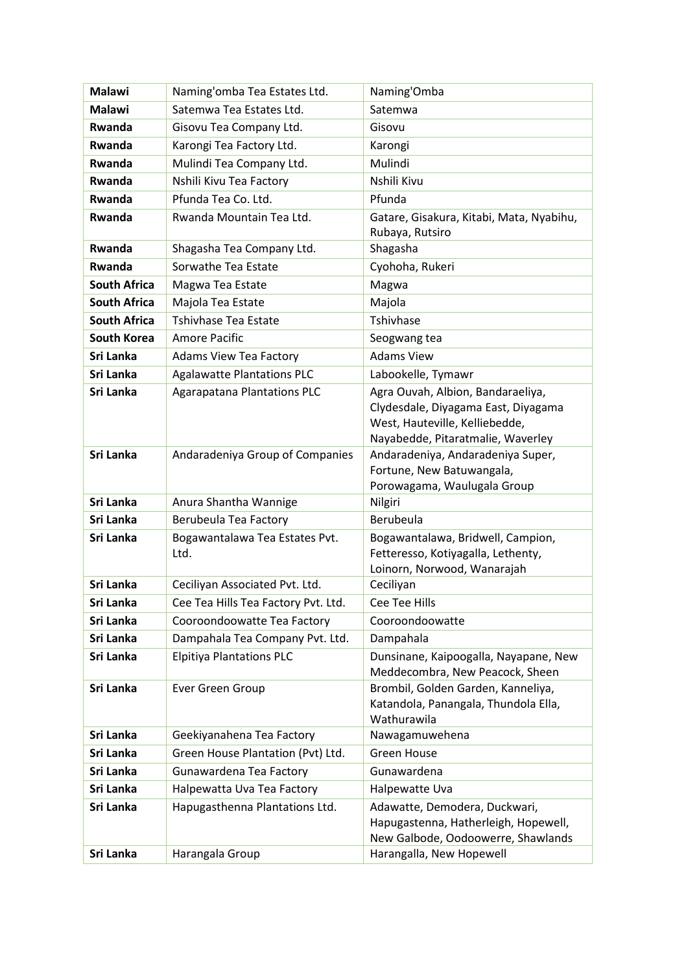| <b>Malawi</b>       | Naming'omba Tea Estates Ltd.           | Naming'Omba                                                                                                                                     |
|---------------------|----------------------------------------|-------------------------------------------------------------------------------------------------------------------------------------------------|
| <b>Malawi</b>       | Satemwa Tea Estates Ltd.               | Satemwa                                                                                                                                         |
| Rwanda              | Gisovu Tea Company Ltd.                | Gisovu                                                                                                                                          |
| Rwanda              | Karongi Tea Factory Ltd.               | Karongi                                                                                                                                         |
| <b>Rwanda</b>       | Mulindi Tea Company Ltd.               | Mulindi                                                                                                                                         |
| Rwanda              | Nshili Kivu Tea Factory                | Nshili Kivu                                                                                                                                     |
| <b>Rwanda</b>       | Pfunda Tea Co. Ltd.                    | Pfunda                                                                                                                                          |
| Rwanda              | Rwanda Mountain Tea Ltd.               | Gatare, Gisakura, Kitabi, Mata, Nyabihu,<br>Rubaya, Rutsiro                                                                                     |
| Rwanda              | Shagasha Tea Company Ltd.              | Shagasha                                                                                                                                        |
| Rwanda              | Sorwathe Tea Estate                    | Cyohoha, Rukeri                                                                                                                                 |
| <b>South Africa</b> | Magwa Tea Estate                       | Magwa                                                                                                                                           |
| <b>South Africa</b> | Majola Tea Estate                      | Majola                                                                                                                                          |
| <b>South Africa</b> | Tshivhase Tea Estate                   | Tshivhase                                                                                                                                       |
| <b>South Korea</b>  | Amore Pacific                          | Seogwang tea                                                                                                                                    |
| Sri Lanka           | <b>Adams View Tea Factory</b>          | <b>Adams View</b>                                                                                                                               |
| Sri Lanka           | <b>Agalawatte Plantations PLC</b>      | Labookelle, Tymawr                                                                                                                              |
| Sri Lanka           | <b>Agarapatana Plantations PLC</b>     | Agra Ouvah, Albion, Bandaraeliya,<br>Clydesdale, Diyagama East, Diyagama<br>West, Hauteville, Kelliebedde,<br>Nayabedde, Pitaratmalie, Waverley |
| Sri Lanka           | Andaradeniya Group of Companies        | Andaradeniya, Andaradeniya Super,<br>Fortune, New Batuwangala,<br>Porowagama, Waulugala Group                                                   |
| Sri Lanka           | Anura Shantha Wannige                  | Nilgiri                                                                                                                                         |
| Sri Lanka           | Berubeula Tea Factory                  | Berubeula                                                                                                                                       |
| Sri Lanka           | Bogawantalawa Tea Estates Pvt.<br>Ltd. | Bogawantalawa, Bridwell, Campion,<br>Fetteresso, Kotiyagalla, Lethenty,<br>Loinorn, Norwood, Wanarajah                                          |
| Sri Lanka           | Ceciliyan Associated Pvt. Ltd.         | Ceciliyan                                                                                                                                       |
| Sri Lanka           | Cee Tea Hills Tea Factory Pvt. Ltd.    | <b>Cee Tee Hills</b>                                                                                                                            |
| Sri Lanka           | Cooroondoowatte Tea Factory            | Cooroondoowatte                                                                                                                                 |
| Sri Lanka           | Dampahala Tea Company Pvt. Ltd.        | Dampahala                                                                                                                                       |
| Sri Lanka           | <b>Elpitiya Plantations PLC</b>        | Dunsinane, Kaipoogalla, Nayapane, New<br>Meddecombra, New Peacock, Sheen                                                                        |
| Sri Lanka           | Ever Green Group                       | Brombil, Golden Garden, Kanneliya,<br>Katandola, Panangala, Thundola Ella,<br>Wathurawila                                                       |
| Sri Lanka           | Geekiyanahena Tea Factory              | Nawagamuwehena                                                                                                                                  |
| Sri Lanka           | Green House Plantation (Pvt) Ltd.      | Green House                                                                                                                                     |
| Sri Lanka           | Gunawardena Tea Factory                | Gunawardena                                                                                                                                     |
| Sri Lanka           | Halpewatta Uva Tea Factory             | Halpewatte Uva                                                                                                                                  |
| Sri Lanka           | Hapugasthenna Plantations Ltd.         | Adawatte, Demodera, Duckwari,<br>Hapugastenna, Hatherleigh, Hopewell,<br>New Galbode, Oodoowerre, Shawlands                                     |
| Sri Lanka           | Harangala Group                        | Harangalla, New Hopewell                                                                                                                        |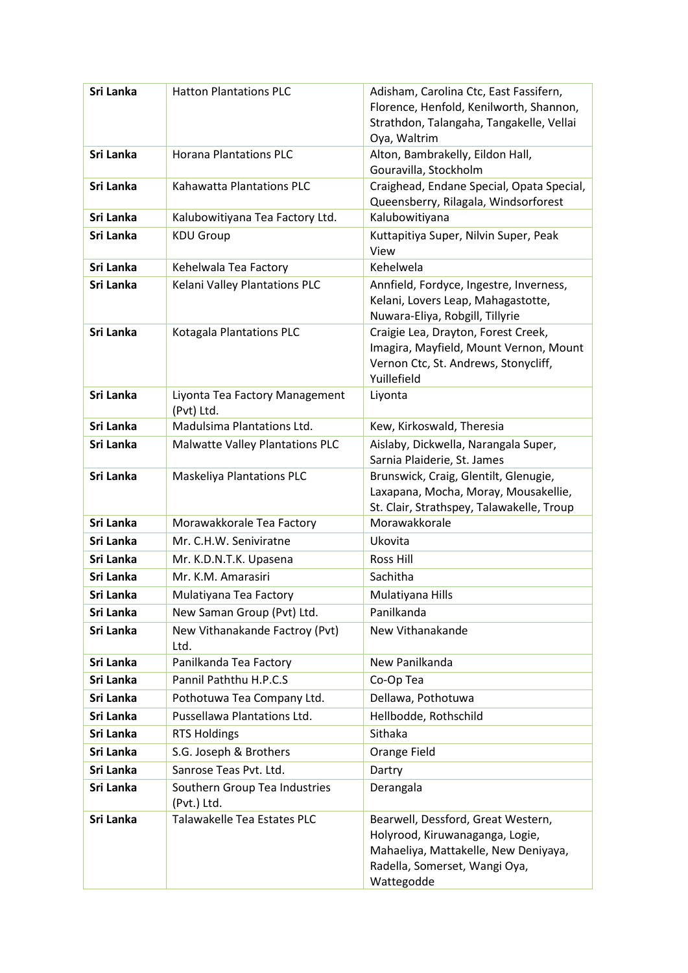| Sri Lanka | <b>Hatton Plantations PLC</b>                | Adisham, Carolina Ctc, East Fassifern,<br>Florence, Henfold, Kenilworth, Shannon,<br>Strathdon, Talangaha, Tangakelle, Vellai<br>Oya, Waltrim                |
|-----------|----------------------------------------------|--------------------------------------------------------------------------------------------------------------------------------------------------------------|
| Sri Lanka | <b>Horana Plantations PLC</b>                | Alton, Bambrakelly, Eildon Hall,<br>Gouravilla, Stockholm                                                                                                    |
| Sri Lanka | Kahawatta Plantations PLC                    | Craighead, Endane Special, Opata Special,<br>Queensberry, Rilagala, Windsorforest                                                                            |
| Sri Lanka | Kalubowitiyana Tea Factory Ltd.              | Kalubowitiyana                                                                                                                                               |
| Sri Lanka | <b>KDU Group</b>                             | Kuttapitiya Super, Nilvin Super, Peak<br>View                                                                                                                |
| Sri Lanka | Kehelwala Tea Factory                        | Kehelwela                                                                                                                                                    |
| Sri Lanka | Kelani Valley Plantations PLC                | Annfield, Fordyce, Ingestre, Inverness,<br>Kelani, Lovers Leap, Mahagastotte,<br>Nuwara-Eliya, Robgill, Tillyrie                                             |
| Sri Lanka | Kotagala Plantations PLC                     | Craigie Lea, Drayton, Forest Creek,<br>Imagira, Mayfield, Mount Vernon, Mount<br>Vernon Ctc, St. Andrews, Stonycliff,<br>Yuillefield                         |
| Sri Lanka | Liyonta Tea Factory Management<br>(Pvt) Ltd. | Liyonta                                                                                                                                                      |
| Sri Lanka | Madulsima Plantations Ltd.                   | Kew, Kirkoswald, Theresia                                                                                                                                    |
| Sri Lanka | <b>Malwatte Valley Plantations PLC</b>       | Aislaby, Dickwella, Narangala Super,<br>Sarnia Plaiderie, St. James                                                                                          |
| Sri Lanka | <b>Maskeliya Plantations PLC</b>             | Brunswick, Craig, Glentilt, Glenugie,<br>Laxapana, Mocha, Moray, Mousakellie,<br>St. Clair, Strathspey, Talawakelle, Troup                                   |
| Sri Lanka | Morawakkorale Tea Factory                    | Morawakkorale                                                                                                                                                |
| Sri Lanka | Mr. C.H.W. Seniviratne                       | Ukovita                                                                                                                                                      |
| Sri Lanka | Mr. K.D.N.T.K. Upasena                       | Ross Hill                                                                                                                                                    |
| Sri Lanka | Mr. K.M. Amarasiri                           | Sachitha                                                                                                                                                     |
| Sri Lanka | Mulatiyana Tea Factory                       | Mulatiyana Hills                                                                                                                                             |
| Sri Lanka | New Saman Group (Pvt) Ltd.                   | Panilkanda                                                                                                                                                   |
| Sri Lanka | New Vithanakande Factroy (Pvt)<br>Ltd.       | New Vithanakande                                                                                                                                             |
| Sri Lanka | Panilkanda Tea Factory                       | New Panilkanda                                                                                                                                               |
| Sri Lanka | Pannil Paththu H.P.C.S                       | Co-Op Tea                                                                                                                                                    |
| Sri Lanka | Pothotuwa Tea Company Ltd.                   | Dellawa, Pothotuwa                                                                                                                                           |
| Sri Lanka | Pussellawa Plantations Ltd.                  | Hellbodde, Rothschild                                                                                                                                        |
| Sri Lanka | <b>RTS Holdings</b>                          | Sithaka                                                                                                                                                      |
| Sri Lanka | S.G. Joseph & Brothers                       | Orange Field                                                                                                                                                 |
| Sri Lanka | Sanrose Teas Pvt. Ltd.                       | Dartry                                                                                                                                                       |
| Sri Lanka | Southern Group Tea Industries<br>(Pvt.) Ltd. | Derangala                                                                                                                                                    |
| Sri Lanka | Talawakelle Tea Estates PLC                  | Bearwell, Dessford, Great Western,<br>Holyrood, Kiruwanaganga, Logie,<br>Mahaeliya, Mattakelle, New Deniyaya,<br>Radella, Somerset, Wangi Oya,<br>Wattegodde |